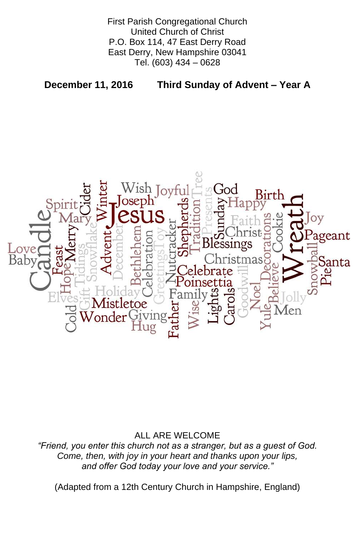First Parish Congregational Church United Church of Christ P.O. Box 114, 47 East Derry Road East Derry, New Hampshire 03041 Tel. (603) 434 – 0628

**December 11, 2016 Third Sunday of Advent – Year A**



### ALL ARE WELCOME

#### *"Friend, you enter this church not as a stranger, but as a guest of God. Come, then, with joy in your heart and thanks upon your lips, and offer God today your love and your service."*

(Adapted from a 12th Century Church in Hampshire, England)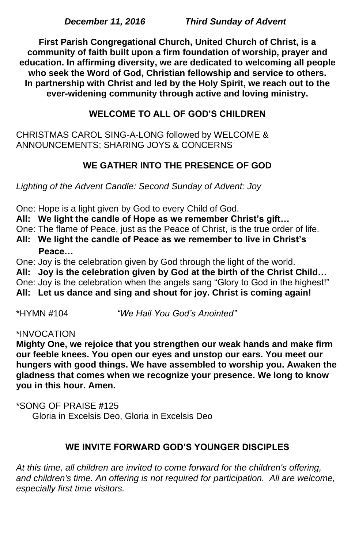*December 11, 2016 Third Sunday of Advent*

**First Parish Congregational Church, United Church of Christ, is a community of faith built upon a firm foundation of worship, prayer and education. In affirming diversity, we are dedicated to welcoming all people who seek the Word of God, Christian fellowship and service to others. In partnership with Christ and led by the Holy Spirit, we reach out to the ever-widening community through active and loving ministry.**

# **WELCOME TO ALL OF GOD'S CHILDREN**

CHRISTMAS CAROL SING-A-LONG followed by WELCOME & ANNOUNCEMENTS; SHARING JOYS & CONCERNS

# **WE GATHER INTO THE PRESENCE OF GOD**

*Lighting of the Advent Candle: Second Sunday of Advent: Joy*

One: Hope is a light given by God to every Child of God.

**All: We light the candle of Hope as we remember Christ's gift…**

One: The flame of Peace, just as the Peace of Christ, is the true order of life.

**All: We light the candle of Peace as we remember to live in Christ's Peace…** 

One: Joy is the celebration given by God through the light of the world.

**All: Joy is the celebration given by God at the birth of the Christ Child…** One: Joy is the celebration when the angels sang "Glory to God in the highest!" **All: Let us dance and sing and shout for joy. Christ is coming again!**

\*HYMN #104 *"We Hail You God's Anointed"*

#### \*INVOCATION

**Mighty One, we rejoice that you strengthen our weak hands and make firm our feeble knees. You open our eyes and unstop our ears. You meet our hungers with good things. We have assembled to worship you. Awaken the gladness that comes when we recognize your presence. We long to know you in this hour. Amen.**

# \*SONG OF PRAISE **#**125 Gloria in Excelsis Deo, Gloria in Excelsis Deo

#### **WE INVITE FORWARD GOD'S YOUNGER DISCIPLES**

*At this time, all children are invited to come forward for the children's offering,*  and children's time. An offering is not required for participation. All are welcome, *especially first time visitors.*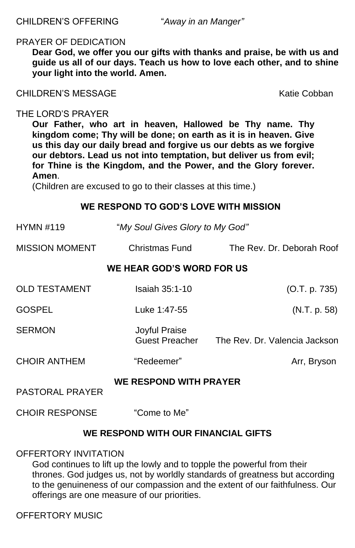CHILDREN'S OFFERING "*Away in an Manger"*

#### PRAYER OF DEDICATION

**Dear God, we offer you our gifts with thanks and praise, be with us and guide us all of our days. Teach us how to love each other, and to shine your light into the world. Amen.**

CHILDREN'S MESSAGE Katie Cobban

#### THE LORD'S PRAYER

**Our Father, who art in heaven, Hallowed be Thy name. Thy kingdom come; Thy will be done; on earth as it is in heaven. Give us this day our daily bread and forgive us our debts as we forgive our debtors. Lead us not into temptation, but deliver us from evil; for Thine is the Kingdom, and the Power, and the Glory forever. Amen**.

(Children are excused to go to their classes at this time.)

#### **WE RESPOND TO GOD'S LOVE WITH MISSION**

| <b>HYMN #119</b>                                        | "My Soul Gives Glory to My God"               |                               |
|---------------------------------------------------------|-----------------------------------------------|-------------------------------|
| <b>MISSION MOMENT</b>                                   | <b>Christmas Fund</b>                         | The Rev. Dr. Deborah Roof     |
| WE HEAR GOD'S WORD FOR US                               |                                               |                               |
| <b>OLD TESTAMENT</b>                                    | <b>Isaiah 35:1-10</b>                         | (O.T. p. 735)                 |
| <b>GOSPEL</b>                                           | Luke 1:47-55                                  | (N.T. p. 58)                  |
| <b>SERMON</b>                                           | <b>Joyful Praise</b><br><b>Guest Preacher</b> | The Rev. Dr. Valencia Jackson |
| <b>CHOIR ANTHEM</b>                                     | "Redeemer"                                    | Arr, Bryson                   |
| <b>WE RESPOND WITH PRAYER</b><br><b>PASTORAL PRAYER</b> |                                               |                               |

#### CHOIR RESPONSE "Come to Me"

# **WE RESPOND WITH OUR FINANCIAL GIFTS**

### OFFERTORY INVITATION

God continues to lift up the lowly and to topple the powerful from their thrones. God judges us, not by worldly standards of greatness but according to the genuineness of our compassion and the extent of our faithfulness. Our offerings are one measure of our priorities.

# OFFERTORY MUSIC